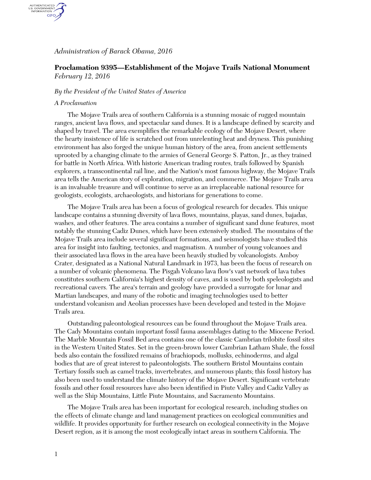## *Administration of Barack Obama, 2016*

# **Proclamation 9395—Establishment of the Mojave Trails National Monument** *February 12, 2016*

### *By the President of the United States of America*

#### *A Proclamation*

AUTHENTICATED<br>U.S. GOVERNMENT<br>INFORMATION GPO.

> The Mojave Trails area of southern California is a stunning mosaic of rugged mountain ranges, ancient lava flows, and spectacular sand dunes. It is a landscape defined by scarcity and shaped by travel. The area exemplifies the remarkable ecology of the Mojave Desert, where the hearty insistence of life is scratched out from unrelenting heat and dryness. This punishing environment has also forged the unique human history of the area, from ancient settlements uprooted by a changing climate to the armies of General George S. Patton, Jr., as they trained for battle in North Africa. With historic American trading routes, trails followed by Spanish explorers, a transcontinental rail line, and the Nation's most famous highway, the Mojave Trails area tells the American story of exploration, migration, and commerce. The Mojave Trails area is an invaluable treasure and will continue to serve as an irreplaceable national resource for geologists, ecologists, archaeologists, and historians for generations to come.

> The Mojave Trails area has been a focus of geological research for decades. This unique landscape contains a stunning diversity of lava flows, mountains, playas, sand dunes, bajadas, washes, and other features. The area contains a number of significant sand dune features, most notably the stunning Cadiz Dunes, which have been extensively studied. The mountains of the Mojave Trails area include several significant formations, and seismologists have studied this area for insight into faulting, tectonics, and magmatism. A number of young volcanoes and their associated lava flows in the area have been heavily studied by volcanologists. Amboy Crater, designated as a National Natural Landmark in 1973, has been the focus of research on a number of volcanic phenomena. The Pisgah Volcano lava flow's vast network of lava tubes constitutes southern California's highest density of caves, and is used by both speleologists and recreational cavers. The area's terrain and geology have provided a surrogate for lunar and Martian landscapes, and many of the robotic and imaging technologies used to better understand volcanism and Aeolian processes have been developed and tested in the Mojave Trails area.

> Outstanding paleontological resources can be found throughout the Mojave Trails area. The Cady Mountains contain important fossil fauna assemblages dating to the Miocene Period. The Marble Mountain Fossil Bed area contains one of the classic Cambrian trilobite fossil sites in the Western United States. Set in the green-brown lower Cambrian Latham Shale, the fossil beds also contain the fossilized remains of brachiopods, mollusks, echinoderms, and algal bodies that are of great interest to paleontologists. The southern Bristol Mountains contain Tertiary fossils such as camel tracks, invertebrates, and numerous plants; this fossil history has also been used to understand the climate history of the Mojave Desert. Significant vertebrate fossils and other fossil resources have also been identified in Piute Valley and Cadiz Valley as well as the Ship Mountains, Little Piute Mountains, and Sacramento Mountains.

The Mojave Trails area has been important for ecological research, including studies on the effects of climate change and land management practices on ecological communities and wildlife. It provides opportunity for further research on ecological connectivity in the Mojave Desert region, as it is among the most ecologically intact areas in southern California. The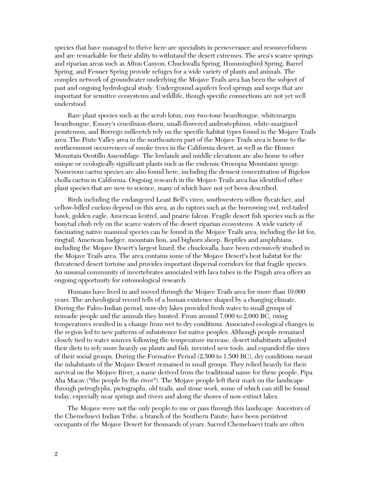species that have managed to thrive here are specialists in perseverance and resourcefulness and are remarkable for their ability to withstand the desert extremes. The area's scarce springs and riparian areas such as Afton Canyon, Chuckwalla Spring, Hummingbird Spring, Barrel Spring, and Fenner Spring provide refuges for a wide variety of plants and animals. The complex network of groundwater underlying the Mojave Trails area has been the subject of past and ongoing hydrological study. Underground aquifers feed springs and seeps that are important for sensitive ecosystems and wildlife, though specific connections are not yet well understood.

Rare plant species such as the scrub lotus, rosy two-tone beardtongue, whitemargin beardtongue, Emory's crucifixion-thorn, small-flowered androstephium, white-margined penstemon, and Borrego milkvetch rely on the specific habitat types found in the Mojave Trails area. The Piute Valley area in the northeastern part of the Mojave Trails area is home to the northernmost occurrences of smoke trees in the California desert, as well as the Homer Mountain Ocotillo Assemblage. The lowlands and middle elevations are also home to other unique or ecologically significant plants such as the endemic Orocopia Mountains spurge. Numerous cactus species are also found here, including the densest concentration of Bigelow cholla cactus in California. Ongoing research in the Mojave Trails area has identified other plant species that are new to science, many of which have not yet been described.

Birds including the endangered Least Bell's vireo, southwestern willow flycatcher, and yellow-billed cuckoo depend on this area, as do raptors such as the burrowing owl, red-tailed hawk, golden eagle, American kestrel, and prairie falcon. Fragile desert fish species such as the bonytail chub rely on the scarce waters of the desert riparian ecosystems. A wide variety of fascinating native mammal species can be found in the Mojave Trails area, including the kit fox, ringtail, American badger, mountain lion, and bighorn sheep. Reptiles and amphibians, including the Mojave Desert's largest lizard, the chuckwalla, have been extensively studied in the Mojave Trails area. The area contains some of the Mojave Desert's best habitat for the threatened desert tortoise and provides important dispersal corridors for that fragile species. An unusual community of invertebrates associated with lava tubes in the Pisgah area offers an ongoing opportunity for entomological research.

Humans have lived in and moved through the Mojave Trails area for more than 10,000 years. The archeological record tells of a human existence shaped by a changing climate. During the Paleo-Indian period, now-dry lakes provided fresh water to small groups of nomadic people and the animals they hunted. From around 7,000 to 2,000 BC, rising temperatures resulted in a change from wet to dry conditions. Associated ecological changes in the region led to new patterns of subsistence for native peoples. Although people remained closely tied to water sources following the temperature increase, desert inhabitants adjusted their diets to rely more heavily on plants and fish, invented new tools, and expanded the sizes of their social groups. During the Formative Period (2,500 to 1,500 BC), dry conditions meant the inhabitants of the Mojave Desert remained in small groups. They relied heavily for their survival on the Mojave River, a name derived from the traditional name for these people, Pipa Aha Macav ("the people by the river"). The Mojave people left their mark on the landscape through petroglyphs, pictographs, old trails, and stone work, some of which can still be found today, especially near springs and rivers and along the shores of now-extinct lakes.

The Mojave were not the only people to use or pass through this landscape. Ancestors of the Chemehuevi Indian Tribe, a branch of the Southern Paiute, have been persistent occupants of the Mojave Desert for thousands of years. Sacred Chemehuevi trails are often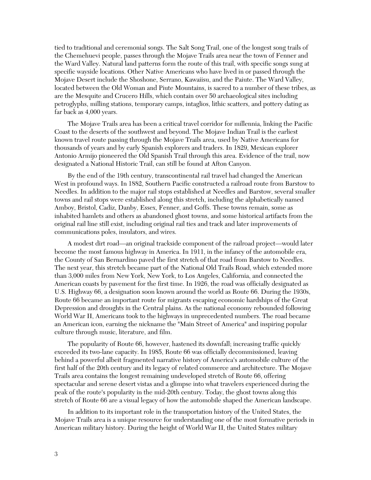tied to traditional and ceremonial songs. The Salt Song Trail, one of the longest song trails of the Chemehuevi people, passes through the Mojave Trails area near the town of Fenner and the Ward Valley. Natural land patterns form the route of this trail, with specific songs sung at specific wayside locations. Other Native Americans who have lived in or passed through the Mojave Desert include the Shoshone, Serrano, Kawaiisu, and the Paiute. The Ward Valley, located between the Old Woman and Piute Mountains, is sacred to a number of these tribes, as are the Mesquite and Crucero Hills, which contain over 50 archaeological sites including petroglyphs, milling stations, temporary camps, intaglios, lithic scatters, and pottery dating as far back as 4,000 years.

The Mojave Trails area has been a critical travel corridor for millennia, linking the Pacific Coast to the deserts of the southwest and beyond. The Mojave Indian Trail is the earliest known travel route passing through the Mojave Trails area, used by Native Americans for thousands of years and by early Spanish explorers and traders. In 1829, Mexican explorer Antonio Armijo pioneered the Old Spanish Trail through this area. Evidence of the trail, now designated a National Historic Trail, can still be found at Afton Canyon.

By the end of the 19th century, transcontinental rail travel had changed the American West in profound ways. In 1882, Southern Pacific constructed a railroad route from Barstow to Needles. In addition to the major rail stops established at Needles and Barstow, several smaller towns and rail stops were established along this stretch, including the alphabetically named Amboy, Bristol, Cadiz, Danby, Essex, Fenner, and Goffs. These towns remain, some as inhabited hamlets and others as abandoned ghost towns, and some historical artifacts from the original rail line still exist, including original rail ties and track and later improvements of communications poles, insulators, and wires.

A modest dirt road—an original trackside component of the railroad project—would later become the most famous highway in America. In 1911, in the infancy of the automobile era, the County of San Bernardino paved the first stretch of that road from Barstow to Needles. The next year, this stretch became part of the National Old Trails Road, which extended more than 3,000 miles from New York, New York, to Los Angeles, California, and connected the American coasts by pavement for the first time. In 1926, the road was officially designated as U.S. Highway 66, a designation soon known around the world as Route 66. During the 1930s, Route 66 became an important route for migrants escaping economic hardships of the Great Depression and droughts in the Central plains. As the national economy rebounded following World War II, Americans took to the highways in unprecedented numbers. The road became an American icon, earning the nickname the "Main Street of America" and inspiring popular culture through music, literature, and film.

The popularity of Route 66, however, hastened its downfall; increasing traffic quickly exceeded its two-lane capacity. In 1985, Route 66 was officially decommissioned, leaving behind a powerful albeit fragmented narrative history of America's automobile culture of the first half of the 20th century and its legacy of related commerce and architecture. The Mojave Trails area contains the longest remaining undeveloped stretch of Route 66, offering spectacular and serene desert vistas and a glimpse into what travelers experienced during the peak of the route's popularity in the mid-20th century. Today, the ghost towns along this stretch of Route 66 are a visual legacy of how the automobile shaped the American landscape.

In addition to its important role in the transportation history of the United States, the Mojave Trails area is a unique resource for understanding one of the most formative periods in American military history. During the height of World War II, the United States military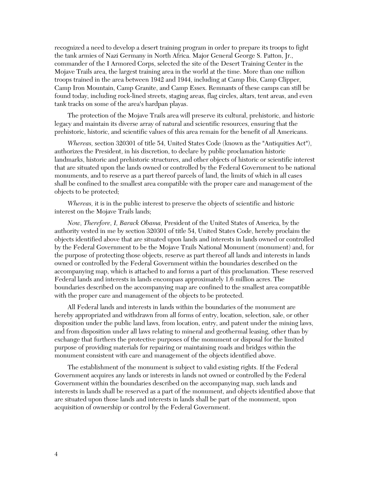recognized a need to develop a desert training program in order to prepare its troops to fight the tank armies of Nazi Germany in North Africa. Major General George S. Patton, Jr., commander of the I Armored Corps, selected the site of the Desert Training Center in the Mojave Trails area, the largest training area in the world at the time. More than one million troops trained in the area between 1942 and 1944, including at Camp Ibis, Camp Clipper, Camp Iron Mountain, Camp Granite, and Camp Essex. Remnants of these camps can still be found today, including rock-lined streets, staging areas, flag circles, altars, tent areas, and even tank tracks on some of the area's hardpan playas.

The protection of the Mojave Trails area will preserve its cultural, prehistoric, and historic legacy and maintain its diverse array of natural and scientific resources, ensuring that the prehistoric, historic, and scientific values of this area remain for the benefit of all Americans.

*Whereas,* section 320301 of title 54, United States Code (known as the "Antiquities Act"), authorizes the President, in his discretion, to declare by public proclamation historic landmarks, historic and prehistoric structures, and other objects of historic or scientific interest that are situated upon the lands owned or controlled by the Federal Government to be national monuments, and to reserve as a part thereof parcels of land, the limits of which in all cases shall be confined to the smallest area compatible with the proper care and management of the objects to be protected;

*Whereas,* it is in the public interest to preserve the objects of scientific and historic interest on the Mojave Trails lands;

*Now, Therefore, I, Barack Obama,* President of the United States of America, by the authority vested in me by section 320301 of title 54, United States Code, hereby proclaim the objects identified above that are situated upon lands and interests in lands owned or controlled by the Federal Government to be the Mojave Trails National Monument (monument) and, for the purpose of protecting those objects, reserve as part thereof all lands and interests in lands owned or controlled by the Federal Government within the boundaries described on the accompanying map, which is attached to and forms a part of this proclamation. These reserved Federal lands and interests in lands encompass approximately 1.6 million acres. The boundaries described on the accompanying map are confined to the smallest area compatible with the proper care and management of the objects to be protected.

All Federal lands and interests in lands within the boundaries of the monument are hereby appropriated and withdrawn from all forms of entry, location, selection, sale, or other disposition under the public land laws, from location, entry, and patent under the mining laws, and from disposition under all laws relating to mineral and geothermal leasing, other than by exchange that furthers the protective purposes of the monument or disposal for the limited purpose of providing materials for repairing or maintaining roads and bridges within the monument consistent with care and management of the objects identified above.

The establishment of the monument is subject to valid existing rights. If the Federal Government acquires any lands or interests in lands not owned or controlled by the Federal Government within the boundaries described on the accompanying map, such lands and interests in lands shall be reserved as a part of the monument, and objects identified above that are situated upon those lands and interests in lands shall be part of the monument, upon acquisition of ownership or control by the Federal Government.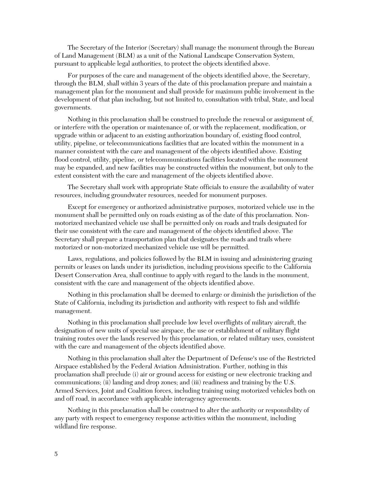The Secretary of the Interior (Secretary) shall manage the monument through the Bureau of Land Management (BLM) as a unit of the National Landscape Conservation System, pursuant to applicable legal authorities, to protect the objects identified above.

For purposes of the care and management of the objects identified above, the Secretary, through the BLM, shall within 3 years of the date of this proclamation prepare and maintain a management plan for the monument and shall provide for maximum public involvement in the development of that plan including, but not limited to, consultation with tribal, State, and local governments.

Nothing in this proclamation shall be construed to preclude the renewal or assignment of, or interfere with the operation or maintenance of, or with the replacement, modification, or upgrade within or adjacent to an existing authorization boundary of, existing flood control, utility, pipeline, or telecommunications facilities that are located within the monument in a manner consistent with the care and management of the objects identified above. Existing flood control, utility, pipeline, or telecommunications facilities located within the monument may be expanded, and new facilities may be constructed within the monument, but only to the extent consistent with the care and management of the objects identified above.

The Secretary shall work with appropriate State officials to ensure the availability of water resources, including groundwater resources, needed for monument purposes.

Except for emergency or authorized administrative purposes, motorized vehicle use in the monument shall be permitted only on roads existing as of the date of this proclamation. Nonmotorized mechanized vehicle use shall be permitted only on roads and trails designated for their use consistent with the care and management of the objects identified above. The Secretary shall prepare a transportation plan that designates the roads and trails where motorized or non-motorized mechanized vehicle use will be permitted.

Laws, regulations, and policies followed by the BLM in issuing and administering grazing permits or leases on lands under its jurisdiction, including provisions specific to the California Desert Conservation Area, shall continue to apply with regard to the lands in the monument, consistent with the care and management of the objects identified above.

Nothing in this proclamation shall be deemed to enlarge or diminish the jurisdiction of the State of California, including its jurisdiction and authority with respect to fish and wildlife management.

Nothing in this proclamation shall preclude low level overflights of military aircraft, the designation of new units of special use airspace, the use or establishment of military flight training routes over the lands reserved by this proclamation, or related military uses, consistent with the care and management of the objects identified above.

Nothing in this proclamation shall alter the Department of Defense's use of the Restricted Airspace established by the Federal Aviation Administration. Further, nothing in this proclamation shall preclude (i) air or ground access for existing or new electronic tracking and communications; (ii) landing and drop zones; and (iii) readiness and training by the U.S. Armed Services, Joint and Coalition forces, including training using motorized vehicles both on and off road, in accordance with applicable interagency agreements.

Nothing in this proclamation shall be construed to alter the authority or responsibility of any party with respect to emergency response activities within the monument, including wildland fire response.